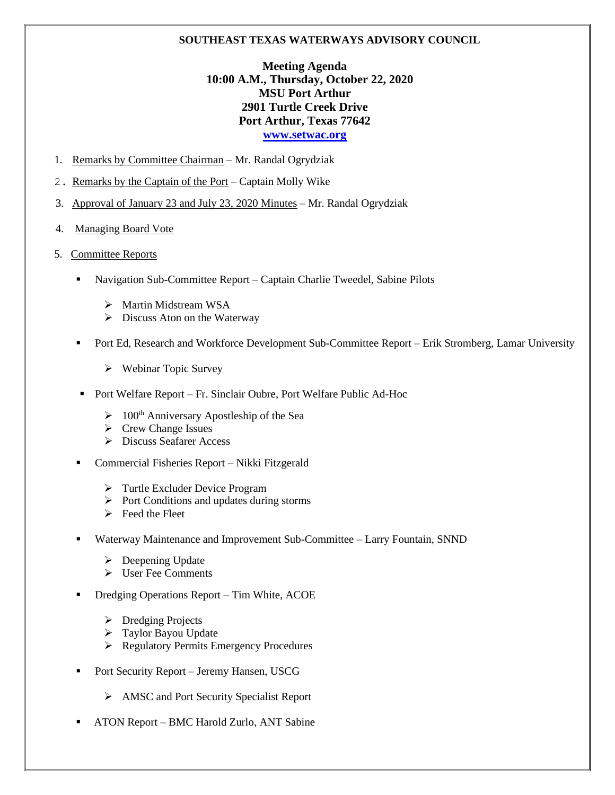## **SOUTHEAST TEXAS WATERWAYS ADVISORY COUNCIL**

## **Meeting Agenda 10:00 A.M., Thursday, October 22, 2020 MSU Port Arthur 2901 Turtle Creek Drive Port Arthur, Texas 77642 [www.setwac.org](http://www.setwac.org/)**

- 1. Remarks by Committee Chairman Mr. Randal Ogrydziak
- 2. Remarks by the Captain of the Port Captain Molly Wike
- 3. Approval of January 23 and July 23, 2020 Minutes Mr. Randal Ogrydziak
- 4. Managing Board Vote
- 5. Committee Reports
	- Navigation Sub-Committee Report Captain Charlie Tweedel, Sabine Pilots
		- ➢ Martin Midstream WSA
		- $\triangleright$  Discuss Aton on the Waterway
	- Port Ed, Research and Workforce Development Sub-Committee Report Erik Stromberg, Lamar University
		- ➢ Webinar Topic Survey
	- Port Welfare Report Fr. Sinclair Oubre, Port Welfare Public Ad-Hoc
		- $\geq 100$ <sup>th</sup> Anniversary Apostleship of the Sea
		- ➢ Crew Change Issues
		- ➢ Discuss Seafarer Access
	- Commercial Fisheries Report Nikki Fitzgerald
		- ➢ Turtle Excluder Device Program
		- ➢ Port Conditions and updates during storms
		- $\triangleright$  Feed the Fleet
	- Waterway Maintenance and Improvement Sub-Committee Larry Fountain, SNND
		- ➢ Deepening Update
		- ➢ User Fee Comments
	- Dredging Operations Report Tim White, ACOE
		- ➢ Dredging Projects
		- ➢ Taylor Bayou Update
		- ➢ Regulatory Permits Emergency Procedures
	- Port Security Report Jeremy Hansen, USCG
		- ➢ AMSC and Port Security Specialist Report
	- ATON Report BMC Harold Zurlo, ANT Sabine